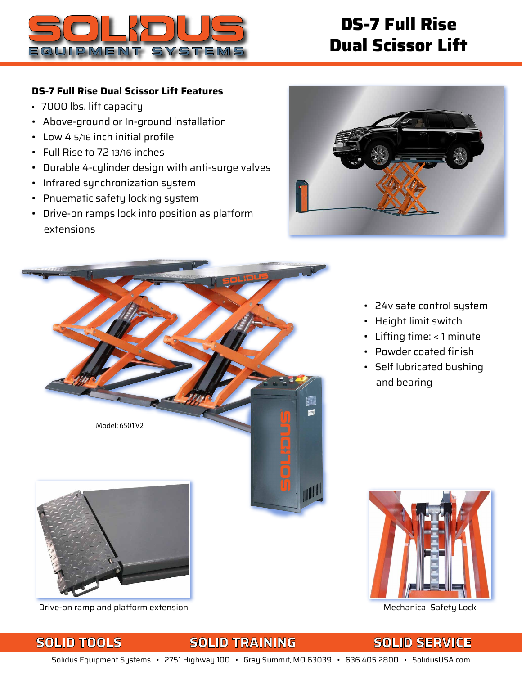

# **DS-7 Full Rise Dual Scissor Lift**

### **DS-7 Full Rise Dual Scissor Lift Features**

- 7000 lbs. lift capacity
- Above-ground or In-ground installation
- Low 4 5/16 inch initial profile
- Full Rise to 72 13/16 inches
- Durable 4-cylinder design with anti-surge valves
- Infrared synchronization system
- Pnuematic safety locking system
- Drive-on ramps lock into position as platform extensions





- 24v safe control system
- Height limit switch
- Lifting time: < 1 minute
- Powder coated finish
- Self lubricated bushing and bearing



## Drive-on ramp and platform extension Mechanical Safety Lock

## **SOLID TOOLS SOLID TRAINING SOLID SERVICE**